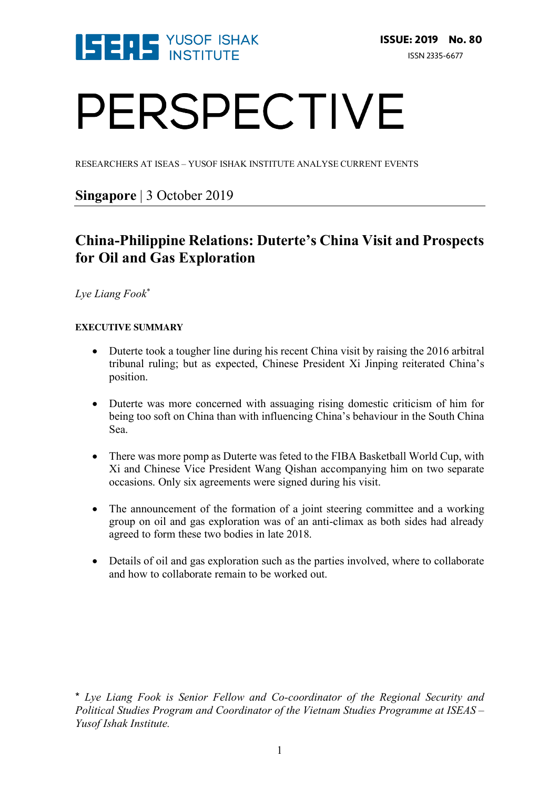

# PERSPECTIVE

RESEARCHERS AT ISEAS – YUSOF ISHAK INSTITUTE ANALYSE CURRENT EVENTS

# **Singapore** | 3 October 2019

# **China-Philippine Relations: Duterte's China Visit and Prospects for Oil and Gas Exploration**

*Lye Liang Fook*\*

#### **EXECUTIVE SUMMARY**

- Duterte took a tougher line during his recent China visit by raising the 2016 arbitral tribunal ruling; but as expected, Chinese President Xi Jinping reiterated China's position.
- Duterte was more concerned with assuaging rising domestic criticism of him for being too soft on China than with influencing China's behaviour in the South China Sea.
- There was more pomp as Duterte was feted to the FIBA Basketball World Cup, with Xi and Chinese Vice President Wang Qishan accompanying him on two separate occasions. Only six agreements were signed during his visit.
- The announcement of the formation of a joint steering committee and a working group on oil and gas exploration was of an anti-climax as both sides had already agreed to form these two bodies in late 2018.
- Details of oil and gas exploration such as the parties involved, where to collaborate and how to collaborate remain to be worked out.

\* *Lye Liang Fook is Senior Fellow and Co-coordinator of the Regional Security and Political Studies Program and Coordinator of the Vietnam Studies Programme at ISEAS – Yusof Ishak Institute.*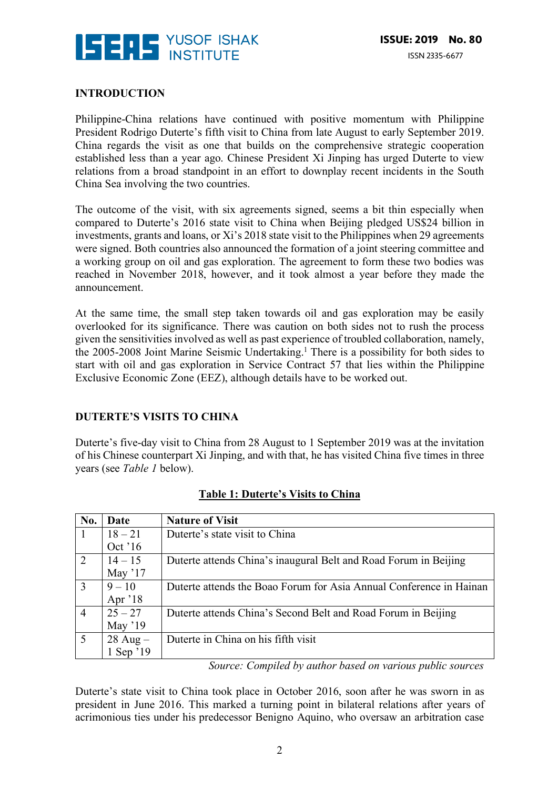

#### **INTRODUCTION**

Philippine-China relations have continued with positive momentum with Philippine President Rodrigo Duterte's fifth visit to China from late August to early September 2019. China regards the visit as one that builds on the comprehensive strategic cooperation established less than a year ago. Chinese President Xi Jinping has urged Duterte to view relations from a broad standpoint in an effort to downplay recent incidents in the South China Sea involving the two countries.

The outcome of the visit, with six agreements signed, seems a bit thin especially when compared to Duterte's 2016 state visit to China when Beijing pledged US\$24 billion in investments, grants and loans, or Xi's 2018 state visit to the Philippines when 29 agreements were signed. Both countries also announced the formation of a joint steering committee and a working group on oil and gas exploration. The agreement to form these two bodies was reached in November 2018, however, and it took almost a year before they made the announcement.

At the same time, the small step taken towards oil and gas exploration may be easily overlooked for its significance. There was caution on both sides not to rush the process given the sensitivities involved as well as past experience of troubled collaboration, namely, the 2005-2008 Joint Marine Seismic Undertaking.<sup>1</sup> There is a possibility for both sides to start with oil and gas exploration in Service Contract 57 that lies within the Philippine Exclusive Economic Zone (EEZ), although details have to be worked out.

#### **DUTERTE'S VISITS TO CHINA**

Duterte's five-day visit to China from 28 August to 1 September 2019 was at the invitation of his Chinese counterpart Xi Jinping, and with that, he has visited China five times in three years (see *Table 1* below).

| No.            | Date         | <b>Nature of Visit</b>                                              |
|----------------|--------------|---------------------------------------------------------------------|
| -1             | $18 - 21$    | Duterte's state visit to China                                      |
|                | Oct '16      |                                                                     |
| 2              | $14 - 15$    | Duterte attends China's inaugural Belt and Road Forum in Beijing    |
|                | May $17$     |                                                                     |
| 3              | $9 - 10$     | Duterte attends the Boao Forum for Asia Annual Conference in Hainan |
|                | Apr '18      |                                                                     |
| $\overline{4}$ | $25 - 27$    | Duterte attends China's Second Belt and Road Forum in Beijing       |
|                | May $'19$    |                                                                     |
| 5              | $28$ Aug $-$ | Duterte in China on his fifth visit                                 |
|                | 1 Sep '19    |                                                                     |

#### **Table 1: Duterte's Visits to China**

*Source: Compiled by author based on various public sources*

Duterte's state visit to China took place in October 2016, soon after he was sworn in as president in June 2016. This marked a turning point in bilateral relations after years of acrimonious ties under his predecessor Benigno Aquino, who oversaw an arbitration case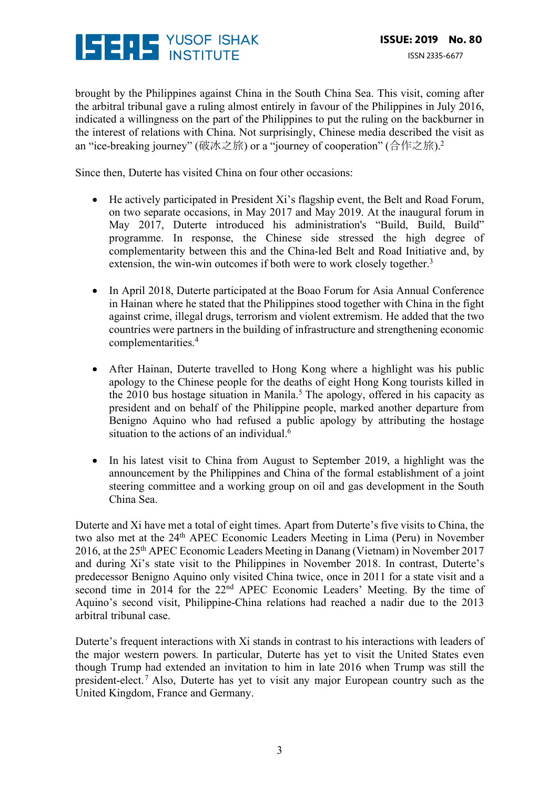

brought by the Philippines against China in the South China Sea. This visit, coming after the arbitral tribunal gave a ruling almost entirely in favour of the Philippines in July 2016, indicated a willingness on the part of the Philippines to put the ruling on the backburner in the interest of relations with China. Not surprisingly, Chinese media described the visit as an "ice-breaking journey" (破冰之旅) or a "journey of cooperation" (合作之旅). 2

Since then, Duterte has visited China on four other occasions:

- He actively participated in President Xi's flagship event, the Belt and Road Forum, on two separate occasions, in May 2017 and May 2019. At the inaugural forum in May 2017, Duterte introduced his administration's "Build, Build, Build" programme. In response, the Chinese side stressed the high degree of complementarity between this and the China-led Belt and Road Initiative and, by extension, the win-win outcomes if both were to work closely together.<sup>3</sup>
- In April 2018, Duterte participated at the Boao Forum for Asia Annual Conference in Hainan where he stated that the Philippines stood together with China in the fight against crime, illegal drugs, terrorism and violent extremism. He added that the two countries were partners in the building of infrastructure and strengthening economic complementarities.4
- After Hainan, Duterte travelled to Hong Kong where a highlight was his public apology to the Chinese people for the deaths of eight Hong Kong tourists killed in the 2010 bus hostage situation in Manila.<sup>5</sup> The apology, offered in his capacity as president and on behalf of the Philippine people, marked another departure from Benigno Aquino who had refused a public apology by attributing the hostage situation to the actions of an individual.<sup>6</sup>
- In his latest visit to China from August to September 2019, a highlight was the announcement by the Philippines and China of the formal establishment of a joint steering committee and a working group on oil and gas development in the South China Sea.

Duterte and Xi have met a total of eight times. Apart from Duterte's five visits to China, the two also met at the 24<sup>th</sup> APEC Economic Leaders Meeting in Lima (Peru) in November 2016, at the 25th APEC Economic Leaders Meeting in Danang (Vietnam) in November 2017 and during Xi's state visit to the Philippines in November 2018. In contrast, Duterte's predecessor Benigno Aquino only visited China twice, once in 2011 for a state visit and a second time in 2014 for the 22nd APEC Economic Leaders' Meeting. By the time of Aquino's second visit, Philippine-China relations had reached a nadir due to the 2013 arbitral tribunal case.

Duterte's frequent interactions with Xi stands in contrast to his interactions with leaders of the major western powers. In particular, Duterte has yet to visit the United States even though Trump had extended an invitation to him in late 2016 when Trump was still the president-elect.7 Also, Duterte has yet to visit any major European country such as the United Kingdom, France and Germany.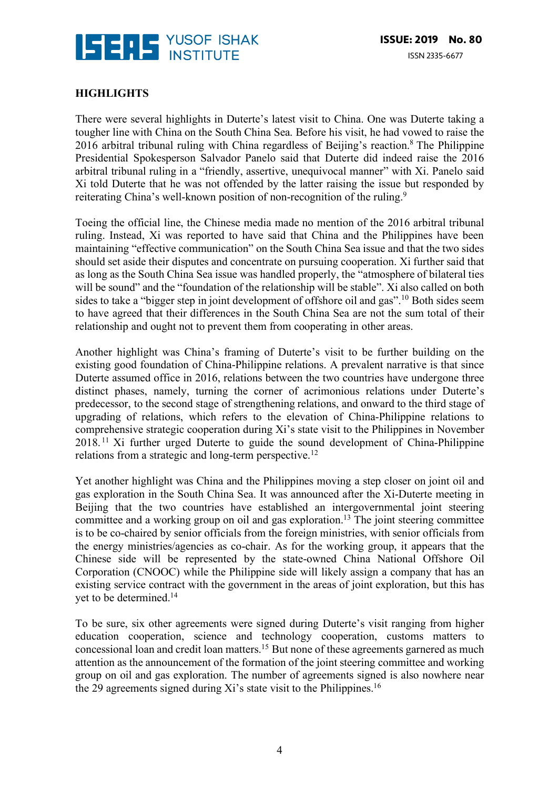

## **HIGHLIGHTS**

There were several highlights in Duterte's latest visit to China. One was Duterte taking a tougher line with China on the South China Sea. Before his visit, he had vowed to raise the 2016 arbitral tribunal ruling with China regardless of Beijing's reaction.<sup>8</sup> The Philippine Presidential Spokesperson Salvador Panelo said that Duterte did indeed raise the 2016 arbitral tribunal ruling in a "friendly, assertive, unequivocal manner" with Xi. Panelo said Xi told Duterte that he was not offended by the latter raising the issue but responded by reiterating China's well-known position of non-recognition of the ruling.9

Toeing the official line, the Chinese media made no mention of the 2016 arbitral tribunal ruling. Instead, Xi was reported to have said that China and the Philippines have been maintaining "effective communication" on the South China Sea issue and that the two sides should set aside their disputes and concentrate on pursuing cooperation. Xi further said that as long as the South China Sea issue was handled properly, the "atmosphere of bilateral ties will be sound" and the "foundation of the relationship will be stable". Xi also called on both sides to take a "bigger step in joint development of offshore oil and gas".<sup>10</sup> Both sides seem to have agreed that their differences in the South China Sea are not the sum total of their relationship and ought not to prevent them from cooperating in other areas.

Another highlight was China's framing of Duterte's visit to be further building on the existing good foundation of China-Philippine relations. A prevalent narrative is that since Duterte assumed office in 2016, relations between the two countries have undergone three distinct phases, namely, turning the corner of acrimonious relations under Duterte's predecessor, to the second stage of strengthening relations, and onward to the third stage of upgrading of relations, which refers to the elevation of China-Philippine relations to comprehensive strategic cooperation during Xi's state visit to the Philippines in November 2018. <sup>11</sup> Xi further urged Duterte to guide the sound development of China-Philippine relations from a strategic and long-term perspective.12

Yet another highlight was China and the Philippines moving a step closer on joint oil and gas exploration in the South China Sea. It was announced after the Xi-Duterte meeting in Beijing that the two countries have established an intergovernmental joint steering committee and a working group on oil and gas exploration.13 The joint steering committee is to be co-chaired by senior officials from the foreign ministries, with senior officials from the energy ministries/agencies as co-chair. As for the working group, it appears that the Chinese side will be represented by the state-owned China National Offshore Oil Corporation (CNOOC) while the Philippine side will likely assign a company that has an existing service contract with the government in the areas of joint exploration, but this has yet to be determined.14

To be sure, six other agreements were signed during Duterte's visit ranging from higher education cooperation, science and technology cooperation, customs matters to concessional loan and credit loan matters.15 But none of these agreements garnered as much attention as the announcement of the formation of the joint steering committee and working group on oil and gas exploration. The number of agreements signed is also nowhere near the 29 agreements signed during Xi's state visit to the Philippines.<sup>16</sup>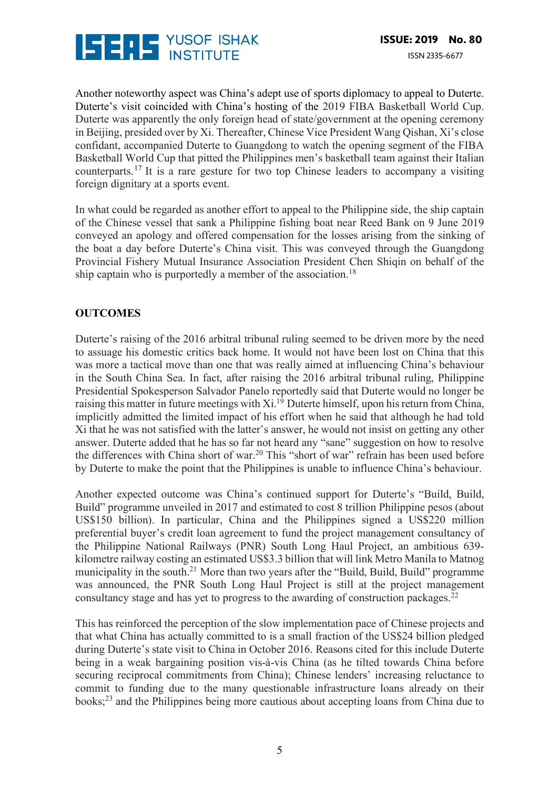

Another noteworthy aspect was China's adept use of sports diplomacy to appeal to Duterte. Duterte's visit coincided with China's hosting of the 2019 FIBA Basketball World Cup. Duterte was apparently the only foreign head of state/government at the opening ceremony in Beijing, presided over by Xi. Thereafter, Chinese Vice President Wang Qishan, Xi's close confidant, accompanied Duterte to Guangdong to watch the opening segment of the FIBA Basketball World Cup that pitted the Philippines men's basketball team against their Italian counterparts.17 It is a rare gesture for two top Chinese leaders to accompany a visiting foreign dignitary at a sports event.

In what could be regarded as another effort to appeal to the Philippine side, the ship captain of the Chinese vessel that sank a Philippine fishing boat near Reed Bank on 9 June 2019 conveyed an apology and offered compensation for the losses arising from the sinking of the boat a day before Duterte's China visit. This was conveyed through the Guangdong Provincial Fishery Mutual Insurance Association President Chen Shiqin on behalf of the ship captain who is purportedly a member of the association.<sup>18</sup>

## **OUTCOMES**

Duterte's raising of the 2016 arbitral tribunal ruling seemed to be driven more by the need to assuage his domestic critics back home. It would not have been lost on China that this was more a tactical move than one that was really aimed at influencing China's behaviour in the South China Sea. In fact, after raising the 2016 arbitral tribunal ruling, Philippine Presidential Spokesperson Salvador Panelo reportedly said that Duterte would no longer be raising this matter in future meetings with Xi.<sup>19</sup> Duterte himself, upon his return from China, implicitly admitted the limited impact of his effort when he said that although he had told Xi that he was not satisfied with the latter's answer, he would not insist on getting any other answer. Duterte added that he has so far not heard any "sane" suggestion on how to resolve the differences with China short of war.<sup>20</sup> This "short of war" refrain has been used before by Duterte to make the point that the Philippines is unable to influence China's behaviour.

Another expected outcome was China's continued support for Duterte's "Build, Build, Build" programme unveiled in 2017 and estimated to cost 8 trillion Philippine pesos (about US\$150 billion). In particular, China and the Philippines signed a US\$220 million preferential buyer's credit loan agreement to fund the project management consultancy of the Philippine National Railways (PNR) South Long Haul Project, an ambitious 639 kilometre railway costing an estimated US\$3.3 billion that will link Metro Manila to Matnog municipality in the south.21 More than two years after the "Build, Build, Build" programme was announced, the PNR South Long Haul Project is still at the project management consultancy stage and has yet to progress to the awarding of construction packages.22

This has reinforced the perception of the slow implementation pace of Chinese projects and that what China has actually committed to is a small fraction of the US\$24 billion pledged during Duterte's state visit to China in October 2016. Reasons cited for this include Duterte being in a weak bargaining position vis-à-vis China (as he tilted towards China before securing reciprocal commitments from China); Chinese lenders' increasing reluctance to commit to funding due to the many questionable infrastructure loans already on their books;23 and the Philippines being more cautious about accepting loans from China due to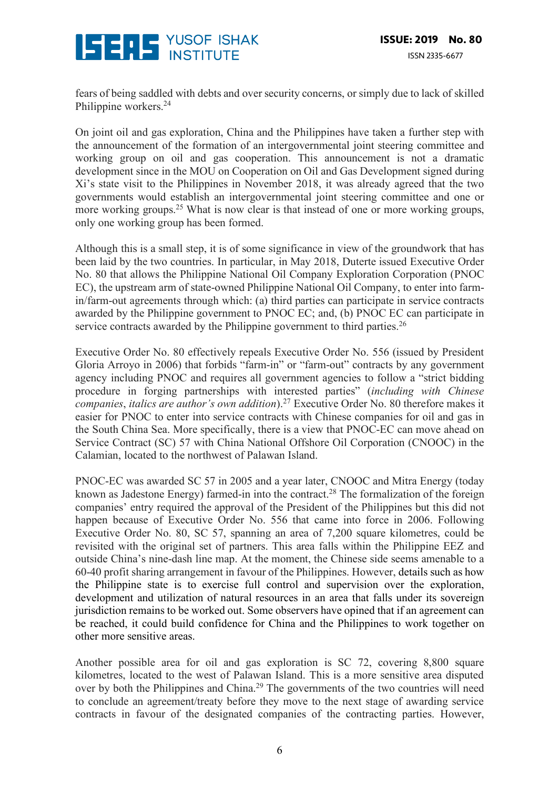

fears of being saddled with debts and over security concerns, or simply due to lack of skilled Philippine workers.<sup>24</sup>

On joint oil and gas exploration, China and the Philippines have taken a further step with the announcement of the formation of an intergovernmental joint steering committee and working group on oil and gas cooperation. This announcement is not a dramatic development since in the MOU on Cooperation on Oil and Gas Development signed during Xi's state visit to the Philippines in November 2018, it was already agreed that the two governments would establish an intergovernmental joint steering committee and one or more working groups.<sup>25</sup> What is now clear is that instead of one or more working groups, only one working group has been formed.

Although this is a small step, it is of some significance in view of the groundwork that has been laid by the two countries. In particular, in May 2018, Duterte issued Executive Order No. 80 that allows the Philippine National Oil Company Exploration Corporation (PNOC EC), the upstream arm of state-owned Philippine National Oil Company, to enter into farmin/farm-out agreements through which: (a) third parties can participate in service contracts awarded by the Philippine government to PNOC EC; and, (b) PNOC EC can participate in service contracts awarded by the Philippine government to third parties.<sup>26</sup>

Executive Order No. 80 effectively repeals Executive Order No. 556 (issued by President Gloria Arroyo in 2006) that forbids "farm-in" or "farm-out" contracts by any government agency including PNOC and requires all government agencies to follow a "strict bidding procedure in forging partnerships with interested parties" (*including with Chinese companies*, *italics are author's own addition*).27 Executive Order No. 80 therefore makes it easier for PNOC to enter into service contracts with Chinese companies for oil and gas in the South China Sea. More specifically, there is a view that PNOC-EC can move ahead on Service Contract (SC) 57 with China National Offshore Oil Corporation (CNOOC) in the Calamian, located to the northwest of Palawan Island.

PNOC-EC was awarded SC 57 in 2005 and a year later, CNOOC and Mitra Energy (today known as Jadestone Energy) farmed-in into the contract.<sup>28</sup> The formalization of the foreign companies' entry required the approval of the President of the Philippines but this did not happen because of Executive Order No. 556 that came into force in 2006. Following Executive Order No. 80, SC 57, spanning an area of 7,200 square kilometres, could be revisited with the original set of partners. This area falls within the Philippine EEZ and outside China's nine-dash line map. At the moment, the Chinese side seems amenable to a 60-40 profit sharing arrangement in favour of the Philippines. However, details such as how the Philippine state is to exercise full control and supervision over the exploration, development and utilization of natural resources in an area that falls under its sovereign jurisdiction remains to be worked out. Some observers have opined that if an agreement can be reached, it could build confidence for China and the Philippines to work together on other more sensitive areas.

Another possible area for oil and gas exploration is SC 72, covering 8,800 square kilometres, located to the west of Palawan Island. This is a more sensitive area disputed over by both the Philippines and China.29 The governments of the two countries will need to conclude an agreement/treaty before they move to the next stage of awarding service contracts in favour of the designated companies of the contracting parties. However,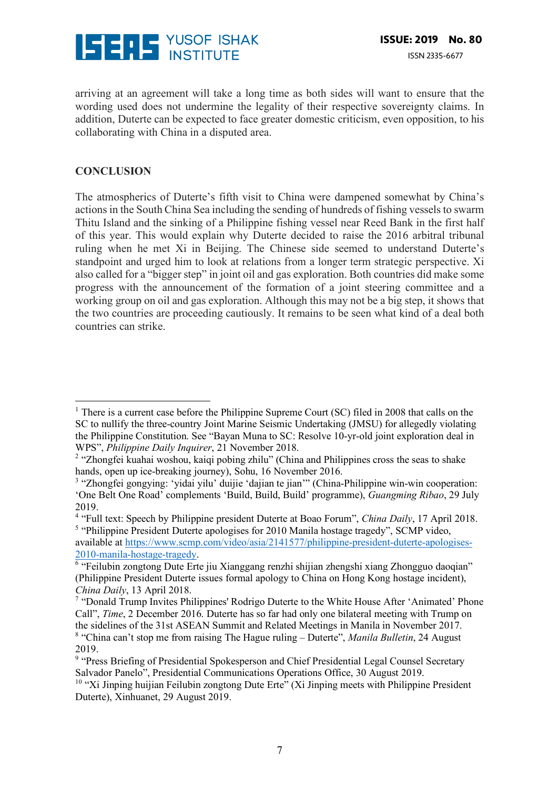

arriving at an agreement will take a long time as both sides will want to ensure that the wording used does not undermine the legality of their respective sovereignty claims. In addition, Duterte can be expected to face greater domestic criticism, even opposition, to his collaborating with China in a disputed area.

### **CONCLUSION**

 

The atmospherics of Duterte's fifth visit to China were dampened somewhat by China's actions in the South China Sea including the sending of hundreds of fishing vessels to swarm Thitu Island and the sinking of a Philippine fishing vessel near Reed Bank in the first half of this year. This would explain why Duterte decided to raise the 2016 arbitral tribunal ruling when he met Xi in Beijing. The Chinese side seemed to understand Duterte's standpoint and urged him to look at relations from a longer term strategic perspective. Xi also called for a "bigger step" in joint oil and gas exploration. Both countries did make some progress with the announcement of the formation of a joint steering committee and a working group on oil and gas exploration. Although this may not be a big step, it shows that the two countries are proceeding cautiously. It remains to be seen what kind of a deal both countries can strike.

<sup>&</sup>lt;sup>1</sup> There is a current case before the Philippine Supreme Court (SC) filed in 2008 that calls on the SC to nullify the three-country Joint Marine Seismic Undertaking (JMSU) for allegedly violating the Philippine Constitution. See "Bayan Muna to SC: Resolve 10-yr-old joint exploration deal in WPS", *Philippine Daily Inquirer*, 21 November 2018.

<sup>&</sup>lt;sup>2</sup> "Zhongfei kuahai woshou, kaiqi pobing zhilu" (China and Philippines cross the seas to shake hands, open up ice-breaking journey), Sohu, 16 November 2016.

<sup>&</sup>lt;sup>3</sup> "Zhongfei gongying: 'yidai yilu' duijie 'dajian te jian'" (China-Philippine win-win cooperation: 'One Belt One Road' complements 'Build, Build, Build' programme), *Guangming Ribao*, 29 July 2019.

<sup>4</sup> "Full text: Speech by Philippine president Duterte at Boao Forum", *China Daily*, 17 April 2018. <sup>5</sup> "Philippine President Duterte apologises for 2010 Manila hostage tragedy", SCMP video,

available at https://www.scmp.com/video/asia/2141577/philippine-president-duterte-apologises-2010-manila-hostage-tragedy.

<sup>6</sup> "Feilubin zongtong Dute Erte jiu Xianggang renzhi shijian zhengshi xiang Zhongguo daoqian" (Philippine President Duterte issues formal apology to China on Hong Kong hostage incident), *China Daily*, 13 April 2018.

<sup>&</sup>lt;sup>7</sup> "Donald Trump Invites Philippines' Rodrigo Duterte to the White House After 'Animated' Phone Call", *Time*, 2 December 2016. Duterte has so far had only one bilateral meeting with Trump on the sidelines of the 31st ASEAN Summit and Related Meetings in Manila in November 2017. <sup>8</sup> "China can't stop me from raising The Hague ruling – Duterte", *Manila Bulletin*, 24 August 2019.

<sup>&</sup>lt;sup>9</sup> "Press Briefing of Presidential Spokesperson and Chief Presidential Legal Counsel Secretary Salvador Panelo", Presidential Communications Operations Office, 30 August 2019.

<sup>&</sup>lt;sup>10</sup> "Xi Jinping huijian Feilubin zongtong Dute Erte" (Xi Jinping meets with Philippine President Duterte), Xinhuanet, 29 August 2019.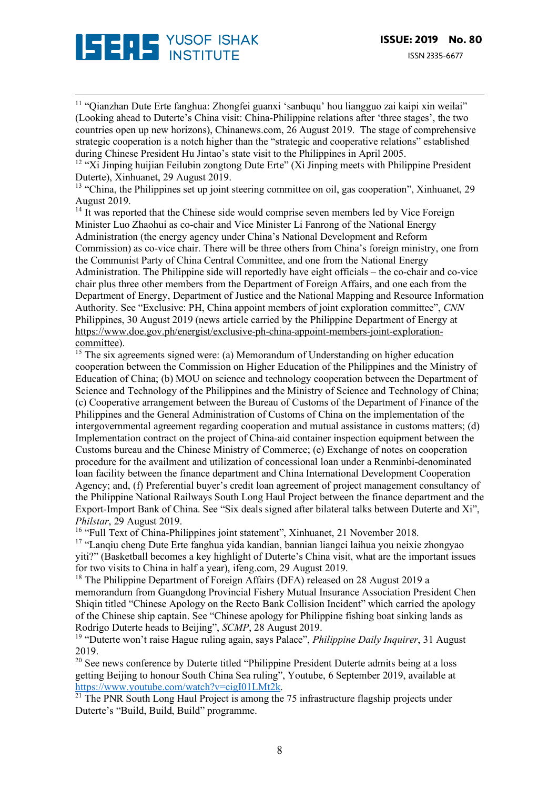

<sup>11</sup> "Qianzhan Dute Erte fanghua: Zhongfei guanxi 'sanbuqu' hou liangguo zai kaipi xin weilai" (Looking ahead to Duterte's China visit: China-Philippine relations after 'three stages', the two countries open up new horizons), Chinanews.com, 26 August 2019. The stage of comprehensive strategic cooperation is a notch higher than the "strategic and cooperative relations" established during Chinese President Hu Jintao's state visit to the Philippines in April 2005.

<u> 1989 - Andrea San Andrew Maria (h. 1989).</u><br>1900 - Andrew Maria (h. 1980).

 $12$  "Xi Jinping huijian Feilubin zongtong Dute Erte" (Xi Jinping meets with Philippine President Duterte), Xinhuanet, 29 August 2019.

<sup>13</sup> "China, the Philippines set up joint steering committee on oil, gas cooperation", Xinhuanet, 29 August 2019.

 $14$  It was reported that the Chinese side would comprise seven members led by Vice Foreign Minister Luo Zhaohui as co-chair and Vice Minister Li Fanrong of the National Energy Administration (the energy agency under China's National Development and Reform Commission) as co-vice chair. There will be three others from China's foreign ministry, one from the Communist Party of China Central Committee, and one from the National Energy Administration. The Philippine side will reportedly have eight officials – the co-chair and co-vice chair plus three other members from the Department of Foreign Affairs, and one each from the Department of Energy, Department of Justice and the National Mapping and Resource Information Authority. See "Exclusive: PH, China appoint members of joint exploration committee", *CNN* Philippines, 30 August 2019 (news article carried by the Philippine Department of Energy at https://www.doe.gov.ph/energist/exclusive-ph-china-appoint-members-joint-explorationcommittee).

 $\frac{15}{15}$  The six agreements signed were: (a) Memorandum of Understanding on higher education cooperation between the Commission on Higher Education of the Philippines and the Ministry of Education of China; (b) MOU on science and technology cooperation between the Department of Science and Technology of the Philippines and the Ministry of Science and Technology of China; (c) Cooperative arrangement between the Bureau of Customs of the Department of Finance of the Philippines and the General Administration of Customs of China on the implementation of the intergovernmental agreement regarding cooperation and mutual assistance in customs matters; (d) Implementation contract on the project of China-aid container inspection equipment between the Customs bureau and the Chinese Ministry of Commerce; (e) Exchange of notes on cooperation procedure for the availment and utilization of concessional loan under a Renminbi-denominated loan facility between the finance department and China International Development Cooperation Agency; and, (f) Preferential buyer's credit loan agreement of project management consultancy of the Philippine National Railways South Long Haul Project between the finance department and the Export-Import Bank of China. See "Six deals signed after bilateral talks between Duterte and Xi", *Philstar*, 29 August 2019.

<sup>16</sup> "Full Text of China-Philippines joint statement", Xinhuanet, 21 November 2018.

<sup>17</sup> "Lanqiu cheng Dute Erte fanghua yida kandian, bannian liangci laihua you neixie zhongyao yiti?" (Basketball becomes a key highlight of Duterte's China visit, what are the important issues for two visits to China in half a year), ifeng.com, 29 August 2019.

<sup>18</sup> The Philippine Department of Foreign Affairs (DFA) released on 28 August 2019 a memorandum from Guangdong Provincial Fishery Mutual Insurance Association President Chen Shiqin titled "Chinese Apology on the Recto Bank Collision Incident" which carried the apology of the Chinese ship captain. See "Chinese apology for Philippine fishing boat sinking lands as Rodrigo Duterte heads to Beijing", *SCMP*, 28 August 2019.

<sup>19</sup> "Duterte won't raise Hague ruling again, says Palace", *Philippine Daily Inquirer*, 31 August 2019.

<sup>20</sup> See news conference by Duterte titled "Philippine President Duterte admits being at a loss getting Beijing to honour South China Sea ruling", Youtube, 6 September 2019, available at https://www.youtube.com/watch?v=cigI01LMt2k.

 $21$  The PNR South Long Haul Project is among the 75 infrastructure flagship projects under Duterte's "Build, Build, Build" programme.